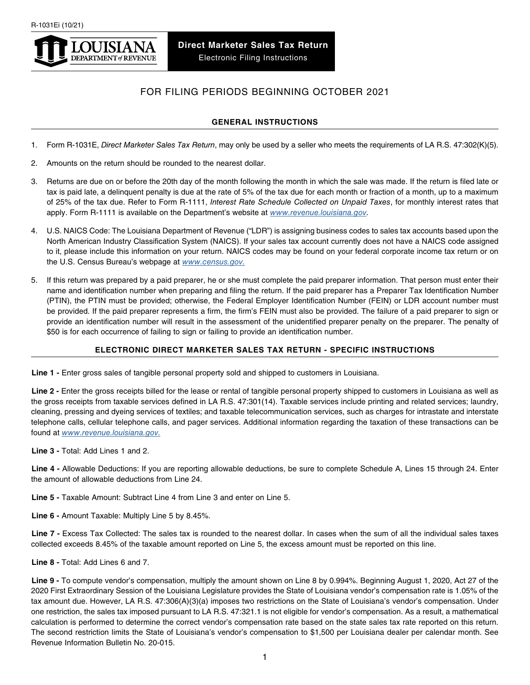

# FOR FILING PERIODS BEGINNING OCTOBER 2021

## **GENERAL INSTRUCTIONS**

- 1. Form R-1031E, *Direct Marketer Sales Tax Return*, may only be used by a seller who meets the requirements of LA R.S. 47:302(K)(5).
- 2. Amounts on the return should be rounded to the nearest dollar.
- 3. Returns are due on or before the 20th day of the month following the month in which the sale was made. If the return is filed late or tax is paid late, a delinquent penalty is due at the rate of 5% of the tax due for each month or fraction of a month, up to a maximum of 25% of the tax due. Refer to Form R-1111, *Interest Rate Schedule Collected on Unpaid Taxes*, for monthly interest rates that apply. Form R-1111 is available on the Department's website at *[www.revenue.louisiana.gov.](http://www.revenue.louisiana.gov)*
- 4. U.S. NAICS Code: The Louisiana Department of Revenue ("LDR") is assigning business codes to sales tax accounts based upon the North American Industry Classification System (NAICS). If your sales tax account currently does not have a NAICS code assigned to it, please include this information on your return. NAICS codes may be found on your federal corporate income tax return or on the U.S. Census Bureau's webpage at *[www.census.gov.](http://www.census.gov)*
- 5. If this return was prepared by a paid preparer, he or she must complete the paid preparer information. That person must enter their name and identification number when preparing and filing the return. If the paid preparer has a Preparer Tax Identification Number (PTIN), the PTIN must be provided; otherwise, the Federal Employer Identification Number (FEIN) or LDR account number must be provided. If the paid preparer represents a firm, the firm's FEIN must also be provided. The failure of a paid preparer to sign or provide an identification number will result in the assessment of the unidentified preparer penalty on the preparer. The penalty of \$50 is for each occurrence of failing to sign or failing to provide an identification number.

# **ELECTRONIC DIRECT MARKETER SALES TAX RETURN - SPECIFIC INSTRUCTIONS**

**Line 1 -** Enter gross sales of tangible personal property sold and shipped to customers in Louisiana.

Line 2 - Enter the gross receipts billed for the lease or rental of tangible personal property shipped to customers in Louisiana as well as the gross receipts from taxable services defined in LA R.S. 47:301(14). Taxable services include printing and related services; laundry, cleaning, pressing and dyeing services of textiles; and taxable telecommunication services, such as charges for intrastate and interstate telephone calls, cellular telephone calls, and pager services. Additional information regarding the taxation of these transactions can be found at *[www.revenue.louisiana.gov.](http://www.revenue.louisiana.gov)*

**Line 3 -** Total: Add Lines 1 and 2.

**Line 4 -** Allowable Deductions: If you are reporting allowable deductions, be sure to complete Schedule A, Lines 15 through 24. Enter the amount of allowable deductions from Line 24.

**Line 5 -** Taxable Amount: Subtract Line 4 from Line 3 and enter on Line 5.

**Line 6 -** Amount Taxable: Multiply Line 5 by 8.45%.

**Line 7 -** Excess Tax Collected: The sales tax is rounded to the nearest dollar. In cases when the sum of all the individual sales taxes collected exceeds 8.45% of the taxable amount reported on Line 5, the excess amount must be reported on this line.

**Line 8 -** Total: Add Lines 6 and 7.

**Line 9 -** To compute vendor's compensation, multiply the amount shown on Line 8 by 0.994%. Beginning August 1, 2020, Act 27 of the 2020 First Extraordinary Session of the Louisiana Legislature provides the State of Louisiana vendor's compensation rate is 1.05% of the tax amount due. However, LA R.S. 47:306(A)(3)(a) imposes two restrictions on the State of Louisiana's vendor's compensation. Under one restriction, the sales tax imposed pursuant to LA R.S. 47:321.1 is not eligible for vendor's compensation. As a result, a mathematical calculation is performed to determine the correct vendor's compensation rate based on the state sales tax rate reported on this return. The second restriction limits the State of Louisiana's vendor's compensation to \$1,500 per Louisiana dealer per calendar month. See Revenue Information Bulletin No. 20-015.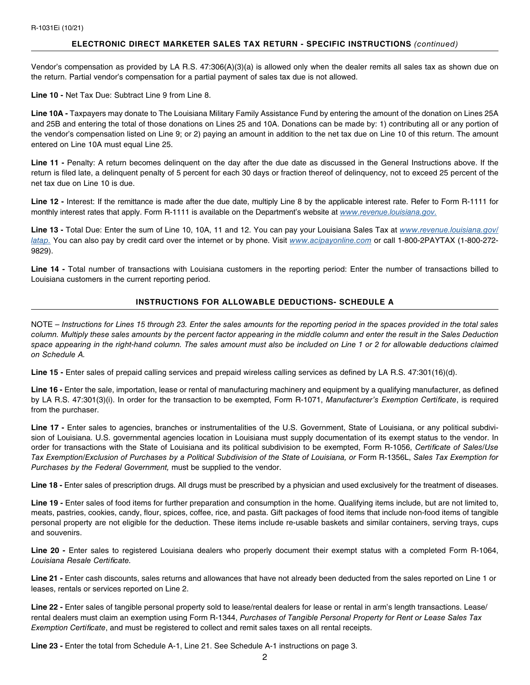#### **ELECTRONIC DIRECT MARKETER SALES TAX RETURN - SPECIFIC INSTRUCTIONS** *(continued)*

Vendor's compensation as provided by LA R.S. 47:306(A)(3)(a) is allowed only when the dealer remits all sales tax as shown due on the return. Partial vendor's compensation for a partial payment of sales tax due is not allowed.

**Line 10 -** Net Tax Due: Subtract Line 9 from Line 8.

**Line 10A -** Taxpayers may donate to The Louisiana Military Family Assistance Fund by entering the amount of the donation on Lines 25A and 25B and entering the total of those donations on Lines 25 and 10A. Donations can be made by: 1) contributing all or any portion of the vendor's compensation listed on Line 9; or 2) paying an amount in addition to the net tax due on Line 10 of this return. The amount entered on Line 10A must equal Line 25.

Line 11 - Penalty: A return becomes delinquent on the day after the due date as discussed in the General Instructions above. If the return is filed late, a delinquent penalty of 5 percent for each 30 days or fraction thereof of delinquency, not to exceed 25 percent of the net tax due on Line 10 is due.

**Line 12 -** Interest: If the remittance is made after the due date, multiply Line 8 by the applicable interest rate. Refer to Form R-1111 for monthly interest rates that apply. Form R-1111 is available on the Department's website at *[www.revenue.louisiana.gov.](http://www.revenue.louisiana.gov)*

**Line 13 -** Total Due: Enter the sum of Line 10, 10A, 11 and 12. You can pay your Louisiana Sales Tax at *[www.revenue.louisiana.gov/](http://www.revenue.louisiana.gov/latap) [latap.](http://www.revenue.louisiana.gov/latap)* You can also pay by credit card over the internet or by phone. Visit *[www.acipayonline.com](http://www.acipayonline.com)* or call 1-800-2PAYTAX (1-800-272- 9829).

**Line 14 -** Total number of transactions with Louisiana customers in the reporting period: Enter the number of transactions billed to Louisiana customers in the current reporting period.

## **INSTRUCTIONS FOR ALLOWABLE DEDUCTIONS- SCHEDULE A**

NOTE – *Instructions for Lines 15 through 23. Enter the sales amounts for the reporting period in the spaces provided in the total sales column. Multiply these sales amounts by the percent factor appearing in the middle column and enter the result in the Sales Deduction*  space appearing in the right-hand column. The sales amount must also be included on Line 1 or 2 for allowable deductions claimed *on Schedule A.* 

**Line 15 -** Enter sales of prepaid calling services and prepaid wireless calling services as defined by LA R.S. 47:301(16)(d).

**Line 16 -** Enter the sale, importation, lease or rental of manufacturing machinery and equipment by a qualifying manufacturer, as defined by LA R.S. 47:301(3)(i). In order for the transaction to be exempted, Form R-1071, *Manufacturer's Exemption Certificate*, is required from the purchaser.

Line 17 - Enter sales to agencies, branches or instrumentalities of the U.S. Government, State of Louisiana, or any political subdivision of Louisiana. U.S. governmental agencies location in Louisiana must supply documentation of its exempt status to the vendor. In order for transactions with the State of Louisiana and its political subdivision to be exempted, Form R-1056, *Certificate of Sales/Use Tax Exemption/Exclusion of Purchases by a Political Subdivision of the State of Louisiana, or* Form R-1356L, *Sales Tax Exemption for Purchases by the Federal Government,* must be supplied to the vendor.

**Line 18 -** Enter sales of prescription drugs. All drugs must be prescribed by a physician and used exclusively for the treatment of diseases.

**Line 19 -** Enter sales of food items for further preparation and consumption in the home. Qualifying items include, but are not limited to, meats, pastries, cookies, candy, flour, spices, coffee, rice, and pasta. Gift packages of food items that include non-food items of tangible personal property are not eligible for the deduction. These items include re-usable baskets and similar containers, serving trays, cups and souvenirs.

Line 20 - Enter sales to registered Louisiana dealers who properly document their exempt status with a completed Form R-1064, *Louisiana Resale Certificate.*

**Line 21 -** Enter cash discounts, sales returns and allowances that have not already been deducted from the sales reported on Line 1 or leases, rentals or services reported on Line 2.

**Line 22 -** Enter sales of tangible personal property sold to lease/rental dealers for lease or rental in arm's length transactions. Lease/ rental dealers must claim an exemption using Form R-1344, *Purchases of Tangible Personal Property for Rent or Lease Sales Tax Exemption Certificate*, and must be registered to collect and remit sales taxes on all rental receipts.

Line 23 - Enter the total from Schedule A-1, Line 21. See Schedule A-1 instructions on page 3.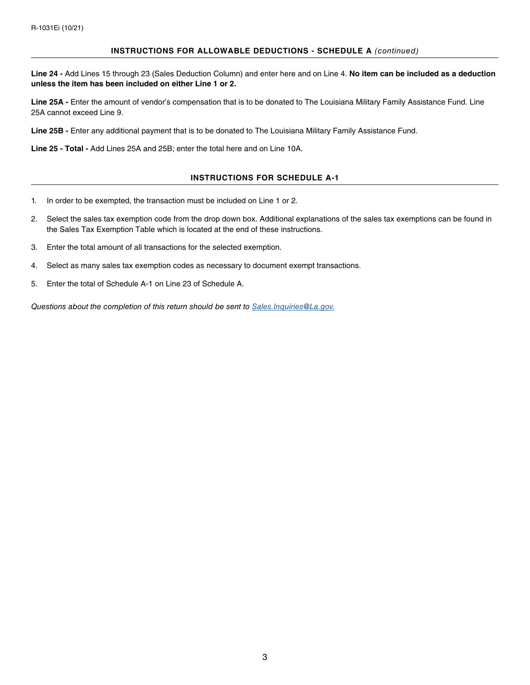#### **INSTRUCTIONS FOR ALLOWABLE DEDUCTIONS - SCHEDULE A** *(continued)*

**Line 24 -** Add Lines 15 through 23 (Sales Deduction Column) and enter here and on Line 4. **No item can be included as a deduction unless the item has been included on either Line 1 or 2.**

**Line 25A -** Enter the amount of vendor's compensation that is to be donated to The Louisiana Military Family Assistance Fund. Line 25A cannot exceed Line 9.

**Line 25B -** Enter any additional payment that is to be donated to The Louisiana Military Family Assistance Fund.

**Line 25 - Total -** Add Lines 25A and 25B; enter the total here and on Line 10A.

### **INSTRUCTIONS FOR SCHEDULE A-1**

- 1. In order to be exempted, the transaction must be included on Line 1 or 2.
- 2. Select the sales tax exemption code from the drop down box. Additional explanations of the sales tax exemptions can be found in the Sales Tax Exemption Table which is located at the end of these instructions.
- 3. Enter the total amount of all transactions for the selected exemption.
- 4. Select as many sales tax exemption codes as necessary to document exempt transactions.
- 5. Enter the total of Schedule A-1 on Line 23 of Schedule A.

*Questions about the completion of this return should be sent to [Sales.Inquiries@La.gov.](mailto:Sales.Inquiries%40La.gov?subject=)*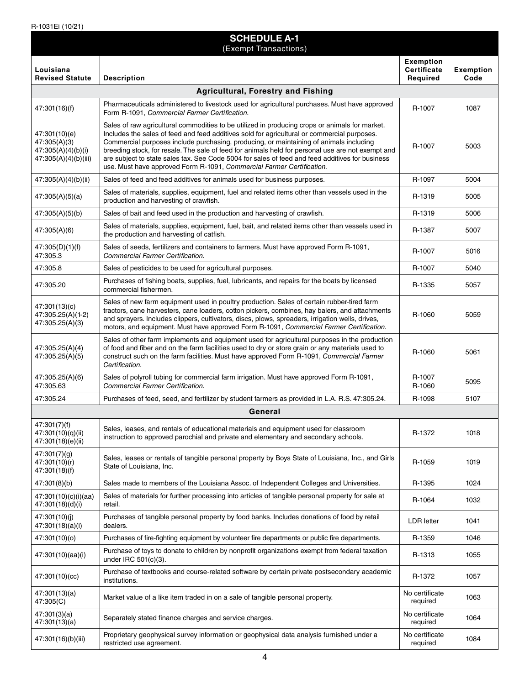| <b>SCHEDULE A-1</b><br>(Exempt Transactions)                                |                                                                                                                                                                                                                                                                                                                                                                                                                                                                                                                                                                          |                                             |                          |  |  |
|-----------------------------------------------------------------------------|--------------------------------------------------------------------------------------------------------------------------------------------------------------------------------------------------------------------------------------------------------------------------------------------------------------------------------------------------------------------------------------------------------------------------------------------------------------------------------------------------------------------------------------------------------------------------|---------------------------------------------|--------------------------|--|--|
| Louisiana<br><b>Revised Statute</b>                                         | <b>Description</b>                                                                                                                                                                                                                                                                                                                                                                                                                                                                                                                                                       | <b>Exemption</b><br>Certificate<br>Required | <b>Exemption</b><br>Code |  |  |
| <b>Agricultural, Forestry and Fishing</b>                                   |                                                                                                                                                                                                                                                                                                                                                                                                                                                                                                                                                                          |                                             |                          |  |  |
| 47:301(16)(f)                                                               | Pharmaceuticals administered to livestock used for agricultural purchases. Must have approved<br>Form R-1091, Commercial Farmer Certification.                                                                                                                                                                                                                                                                                                                                                                                                                           | R-1007                                      | 1087                     |  |  |
| 47:301(10)(e)<br>47:305(A)(3)<br>47:305(A)(4)(b)(i)<br>47:305(A)(4)(b)(iii) | Sales of raw agricultural commodities to be utilized in producing crops or animals for market.<br>Includes the sales of feed and feed additives sold for agricultural or commercial purposes.<br>Commercial purposes include purchasing, producing, or maintaining of animals including<br>breeding stock, for resale. The sale of feed for animals held for personal use are not exempt and<br>are subject to state sales tax. See Code 5004 for sales of feed and feed additives for business<br>use. Must have approved Form R-1091, Commercial Farmer Certification. | R-1007                                      | 5003                     |  |  |
| 47:305(A)(4)(b)(ii)                                                         | Sales of feed and feed additives for animals used for business purposes.                                                                                                                                                                                                                                                                                                                                                                                                                                                                                                 | R-1097                                      | 5004                     |  |  |
| 47:305(A)(5)(a)                                                             | Sales of materials, supplies, equipment, fuel and related items other than vessels used in the<br>production and harvesting of crawfish.                                                                                                                                                                                                                                                                                                                                                                                                                                 | R-1319                                      | 5005                     |  |  |
| 47:305(A)(5)(b)                                                             | Sales of bait and feed used in the production and harvesting of crawfish.                                                                                                                                                                                                                                                                                                                                                                                                                                                                                                | R-1319                                      | 5006                     |  |  |
| 47:305(A)(6)                                                                | Sales of materials, supplies, equipment, fuel, bait, and related items other than vessels used in<br>the production and harvesting of catfish.                                                                                                                                                                                                                                                                                                                                                                                                                           | R-1387                                      | 5007                     |  |  |
| 47:305(D)(1)(f)<br>47:305.3                                                 | Sales of seeds, fertilizers and containers to farmers. Must have approved Form R-1091,<br><b>Commercial Farmer Certification.</b>                                                                                                                                                                                                                                                                                                                                                                                                                                        | R-1007                                      | 5016                     |  |  |
| 47:305.8                                                                    | Sales of pesticides to be used for agricultural purposes.                                                                                                                                                                                                                                                                                                                                                                                                                                                                                                                | R-1007                                      | 5040                     |  |  |
| 47:305.20                                                                   | Purchases of fishing boats, supplies, fuel, lubricants, and repairs for the boats by licensed<br>commercial fishermen.                                                                                                                                                                                                                                                                                                                                                                                                                                                   | R-1335                                      | 5057                     |  |  |
| 47:301(13)(c)<br>47:305.25(A)(1-2)<br>47:305.25(A)(3)                       | Sales of new farm equipment used in poultry production. Sales of certain rubber-tired farm<br>tractors, cane harvesters, cane loaders, cotton pickers, combines, hay balers, and attachments<br>and sprayers. Includes clippers, cultivators, discs, plows, spreaders, irrigation wells, drives,<br>motors, and equipment. Must have approved Form R-1091, Commercial Farmer Certification.                                                                                                                                                                              | R-1060                                      | 5059                     |  |  |
| 47:305.25(A)(4)<br>47:305.25(A)(5)                                          | Sales of other farm implements and equipment used for agricultural purposes in the production<br>of food and fiber and on the farm facilities used to dry or store grain or any materials used to<br>construct such on the farm facilities. Must have approved Form R-1091, Commercial Farmer<br>Certification.                                                                                                                                                                                                                                                          | R-1060                                      | 5061                     |  |  |
| 47:305.25(A)(6)<br>47:305.63                                                | Sales of polyroll tubing for commercial farm irrigation. Must have approved Form R-1091,<br>Commercial Farmer Certification.                                                                                                                                                                                                                                                                                                                                                                                                                                             | R-1007<br>R-1060                            | 5095                     |  |  |
| 47:305.24                                                                   | Purchases of feed, seed, and fertilizer by student farmers as provided in L.A. R.S. 47:305.24.                                                                                                                                                                                                                                                                                                                                                                                                                                                                           | R-1098                                      | 5107                     |  |  |
| General                                                                     |                                                                                                                                                                                                                                                                                                                                                                                                                                                                                                                                                                          |                                             |                          |  |  |
| 47:301(7)(f)<br>47:301(10)(q)(ii)<br>47:301(18)(e)(ii)                      | Sales, leases, and rentals of educational materials and equipment used for classroom<br>instruction to approved parochial and private and elementary and secondary schools.                                                                                                                                                                                                                                                                                                                                                                                              | R-1372                                      | 1018                     |  |  |
| 47:301(7)(g)<br>47:301(10)(r)<br>47:301(18)(f)                              | Sales, leases or rentals of tangible personal property by Boys State of Louisiana, Inc., and Girls<br>State of Louisiana, Inc.                                                                                                                                                                                                                                                                                                                                                                                                                                           | R-1059                                      | 1019                     |  |  |
| 47:301(8)(b)                                                                | Sales made to members of the Louisiana Assoc. of Independent Colleges and Universities.                                                                                                                                                                                                                                                                                                                                                                                                                                                                                  | R-1395                                      | 1024                     |  |  |
| 47:301(10)(c)(i)(aa)<br>47:301(18)(d)(i)                                    | Sales of materials for further processing into articles of tangible personal property for sale at<br>retail.                                                                                                                                                                                                                                                                                                                                                                                                                                                             | R-1064                                      | 1032                     |  |  |
| 47:301(10)(i)<br>47:301(18)(a)(i)                                           | Purchases of tangible personal property by food banks. Includes donations of food by retail<br>dealers.                                                                                                                                                                                                                                                                                                                                                                                                                                                                  | LDR letter                                  | 1041                     |  |  |
| 47:301(10)(o)                                                               | Purchases of fire-fighting equipment by volunteer fire departments or public fire departments.                                                                                                                                                                                                                                                                                                                                                                                                                                                                           | R-1359                                      | 1046                     |  |  |
| 47:301(10)(aa)(i)                                                           | Purchase of toys to donate to children by nonprofit organizations exempt from federal taxation<br>under IRC 501(c)(3).                                                                                                                                                                                                                                                                                                                                                                                                                                                   | R-1313                                      | 1055                     |  |  |
| 47:301(10)(cc)                                                              | Purchase of textbooks and course-related software by certain private postsecondary academic<br>institutions.                                                                                                                                                                                                                                                                                                                                                                                                                                                             | R-1372                                      | 1057                     |  |  |
| 47:301(13)(a)<br>47:305(C)                                                  | Market value of a like item traded in on a sale of tangible personal property.                                                                                                                                                                                                                                                                                                                                                                                                                                                                                           | No certificate<br>required                  | 1063                     |  |  |
| 47:301(3)(a)<br>47:301(13)(a)                                               | Separately stated finance charges and service charges.                                                                                                                                                                                                                                                                                                                                                                                                                                                                                                                   | No certificate<br>required                  | 1064                     |  |  |
| 47:301(16)(b)(iii)                                                          | Proprietary geophysical survey information or geophysical data analysis furnished under a<br>restricted use agreement.                                                                                                                                                                                                                                                                                                                                                                                                                                                   | No certificate<br>required                  | 1084                     |  |  |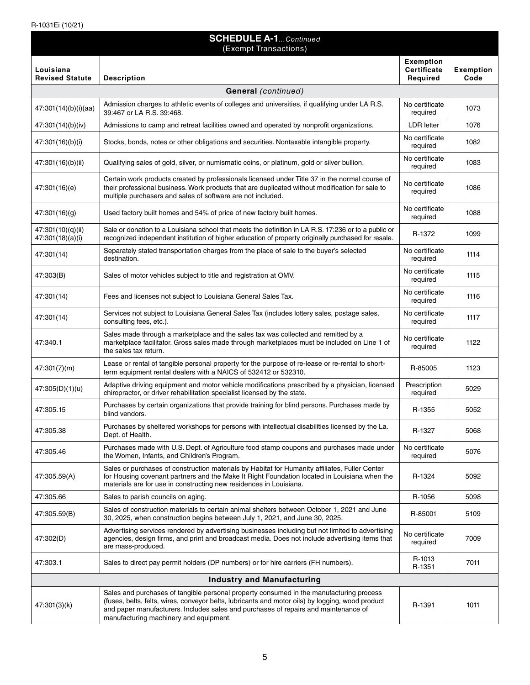| <b>SCHEDULE A-1Continued</b><br>(Exempt Transactions) |                                                                                                                                                                                                                                                                                                                              |                                             |                          |  |  |  |
|-------------------------------------------------------|------------------------------------------------------------------------------------------------------------------------------------------------------------------------------------------------------------------------------------------------------------------------------------------------------------------------------|---------------------------------------------|--------------------------|--|--|--|
| Louisiana<br><b>Revised Statute</b>                   | <b>Description</b>                                                                                                                                                                                                                                                                                                           | <b>Exemption</b><br>Certificate<br>Required | <b>Exemption</b><br>Code |  |  |  |
| <b>General</b> (continued)                            |                                                                                                                                                                                                                                                                                                                              |                                             |                          |  |  |  |
| 47:301(14)(b)(i)(aa)                                  | Admission charges to athletic events of colleges and universities, if qualifying under LA R.S.<br>39:467 or LA R.S. 39:468.                                                                                                                                                                                                  | No certificate<br>required                  | 1073                     |  |  |  |
| 47:301(14)(b)(iv)                                     | Admissions to camp and retreat facilities owned and operated by nonprofit organizations.                                                                                                                                                                                                                                     | <b>LDR</b> letter                           | 1076                     |  |  |  |
| 47:301(16)(b)(i)                                      | Stocks, bonds, notes or other obligations and securities. Nontaxable intangible property.                                                                                                                                                                                                                                    | No certificate<br>required                  | 1082                     |  |  |  |
| 47:301(16)(b)(ii)                                     | Qualifying sales of gold, silver, or numismatic coins, or platinum, gold or silver bullion.                                                                                                                                                                                                                                  | No certificate<br>required                  | 1083                     |  |  |  |
| 47:301(16)(e)                                         | Certain work products created by professionals licensed under Title 37 in the normal course of<br>their professional business. Work products that are duplicated without modification for sale to<br>multiple purchasers and sales of software are not included.                                                             | No certificate<br>required                  | 1086                     |  |  |  |
| 47:301(16)(g)                                         | Used factory built homes and 54% of price of new factory built homes.                                                                                                                                                                                                                                                        | No certificate<br>required                  | 1088                     |  |  |  |
| 47:301(10)(q)(ii)<br>47:301(18)(a)(i)                 | Sale or donation to a Louisiana school that meets the definition in LA R.S. 17:236 or to a public or<br>recognized independent institution of higher education of property originally purchased for resale.                                                                                                                  | R-1372                                      | 1099                     |  |  |  |
| 47:301(14)                                            | Separately stated transportation charges from the place of sale to the buyer's selected<br>destination.                                                                                                                                                                                                                      | No certificate<br>required                  | 1114                     |  |  |  |
| 47:303(B)                                             | Sales of motor vehicles subject to title and registration at OMV.                                                                                                                                                                                                                                                            | No certificate<br>required                  | 1115                     |  |  |  |
| 47:301(14)                                            | Fees and licenses not subject to Louisiana General Sales Tax.                                                                                                                                                                                                                                                                | No certificate<br>required                  | 1116                     |  |  |  |
| 47:301(14)                                            | Services not subject to Louisiana General Sales Tax (includes lottery sales, postage sales,<br>consulting fees, etc.).                                                                                                                                                                                                       | No certificate<br>required                  | 1117                     |  |  |  |
| 47:340.1                                              | Sales made through a marketplace and the sales tax was collected and remitted by a<br>marketplace facilitator. Gross sales made through marketplaces must be included on Line 1 of<br>the sales tax return.                                                                                                                  | No certificate<br>required                  | 1122                     |  |  |  |
| 47:301(7)(m)                                          | Lease or rental of tangible personal property for the purpose of re-lease or re-rental to short-<br>term equipment rental dealers with a NAICS of 532412 or 532310.                                                                                                                                                          | R-85005                                     | 1123                     |  |  |  |
| 47:305(D)(1)(u)                                       | Adaptive driving equipment and motor vehicle modifications prescribed by a physician, licensed<br>chiropractor, or driver rehabilitation specialist licensed by the state.                                                                                                                                                   | Prescription<br>required                    | 5029                     |  |  |  |
| 47:305.15                                             | Purchases by certain organizations that provide training for blind persons. Purchases made by<br>blind vendors.                                                                                                                                                                                                              | R-1355                                      | 5052                     |  |  |  |
| 47:305.38                                             | Purchases by sheltered workshops for persons with intellectual disabilities licensed by the La.<br>Dept. of Health.                                                                                                                                                                                                          | R-1327                                      | 5068                     |  |  |  |
| 47:305.46                                             | Purchases made with U.S. Dept. of Agriculture food stamp coupons and purchases made under<br>the Women, Infants, and Children's Program.                                                                                                                                                                                     | No certificate<br>required                  | 5076                     |  |  |  |
| 47:305.59(A)                                          | Sales or purchases of construction materials by Habitat for Humanity affiliates, Fuller Center<br>for Housing covenant partners and the Make It Right Foundation located in Louisiana when the<br>materials are for use in constructing new residences in Louisiana.                                                         | R-1324                                      | 5092                     |  |  |  |
| 47:305.66                                             | Sales to parish councils on aging.                                                                                                                                                                                                                                                                                           | R-1056                                      | 5098                     |  |  |  |
| 47:305.59(B)                                          | Sales of construction materials to certain animal shelters between October 1, 2021 and June<br>30, 2025, when construction begins between July 1, 2021, and June 30, 2025.                                                                                                                                                   | R-85001                                     | 5109                     |  |  |  |
| 47:302(D)                                             | Advertising services rendered by advertising businesses including but not limited to advertising<br>agencies, design firms, and print and broadcast media. Does not include advertising items that<br>are mass-produced.                                                                                                     | No certificate<br>required                  | 7009                     |  |  |  |
| 47:303.1                                              | Sales to direct pay permit holders (DP numbers) or for hire carriers (FH numbers).                                                                                                                                                                                                                                           | R-1013<br>R-1351                            | 7011                     |  |  |  |
| <b>Industry and Manufacturing</b>                     |                                                                                                                                                                                                                                                                                                                              |                                             |                          |  |  |  |
| 47:301(3)(k)                                          | Sales and purchases of tangible personal property consumed in the manufacturing process<br>(fuses, belts, felts, wires, conveyor belts, lubricants and motor oils) by logging, wood product<br>and paper manufacturers. Includes sales and purchases of repairs and maintenance of<br>manufacturing machinery and equipment. | R-1391                                      | 1011                     |  |  |  |